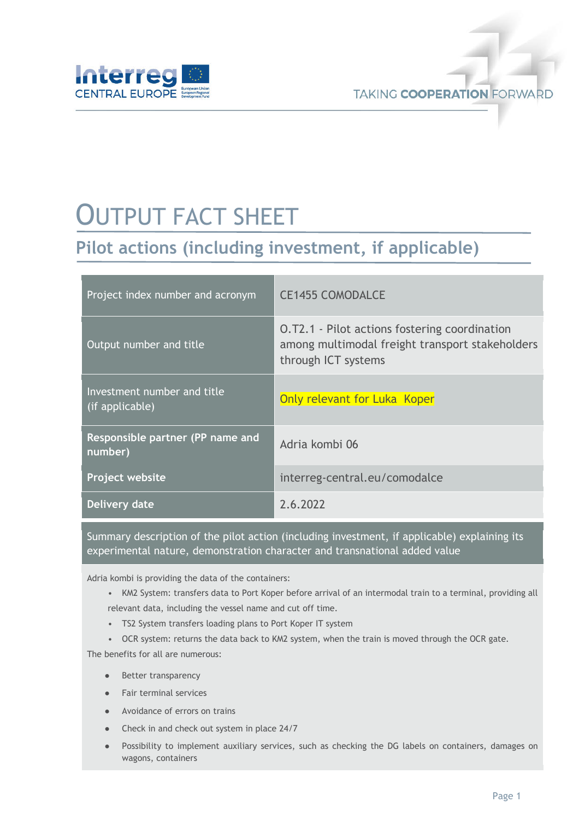

# OUTPUT FACT SHEET

## **Pilot actions (including investment, if applicable)**

| Project index number and acronym               | <b>CE1455 COMODALCE</b>                                                                                                        |
|------------------------------------------------|--------------------------------------------------------------------------------------------------------------------------------|
| Output number and title                        | <b>O.T2.1 - Pilot actions fostering coordination</b><br>among multimodal freight transport stakeholders<br>through ICT systems |
| Investment number and title<br>(if applicable) | Only relevant for Luka Koper                                                                                                   |
| Responsible partner (PP name and<br>number)    | Adria kombi 06                                                                                                                 |
| Project website                                | interreg-central.eu/comodalce                                                                                                  |
| Delivery date                                  | 2.6.2022                                                                                                                       |

Summary description of the pilot action (including investment, if applicable) explaining its experimental nature, demonstration character and transnational added value

Adria kombi is providing the data of the containers:

- KM2 System: transfers data to Port Koper before arrival of an intermodal train to a terminal, providing all relevant data, including the vessel name and cut off time.
- TS2 System transfers loading plans to Port Koper IT system
- OCR system: returns the data back to KM2 system, when the train is moved through the OCR gate.

The benefits for all are numerous:

- Better transparency
- Fair terminal services
- Avoidance of errors on trains
- Check in and check out system in place 24/7
- Possibility to implement auxiliary services, such as checking the DG labels on containers, damages on wagons, containers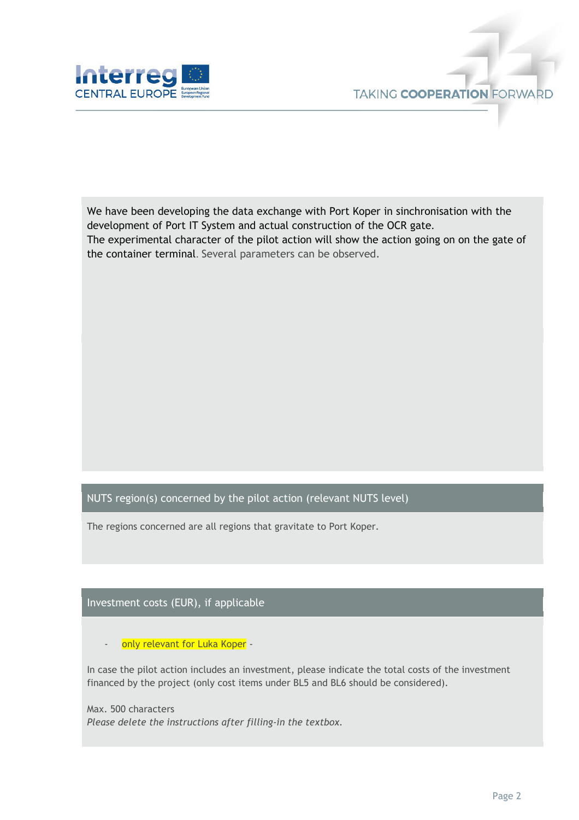

We have been developing the data exchange with Port Koper in sinchronisation with the development of Port IT System and actual construction of the OCR gate. The experimental character of the pilot action will show the action going on on the gate of the container terminal. Several parameters can be observed.

#### NUTS region(s) concerned by the pilot action (relevant NUTS level)

The regions concerned are all regions that gravitate to Port Koper.

#### Investment costs (EUR), if applicable

only relevant for Luka Koper -

In case the pilot action includes an investment, please indicate the total costs of the investment financed by the project (only cost items under BL5 and BL6 should be considered).

Max. 500 characters *Please delete the instructions after filling-in the textbox.*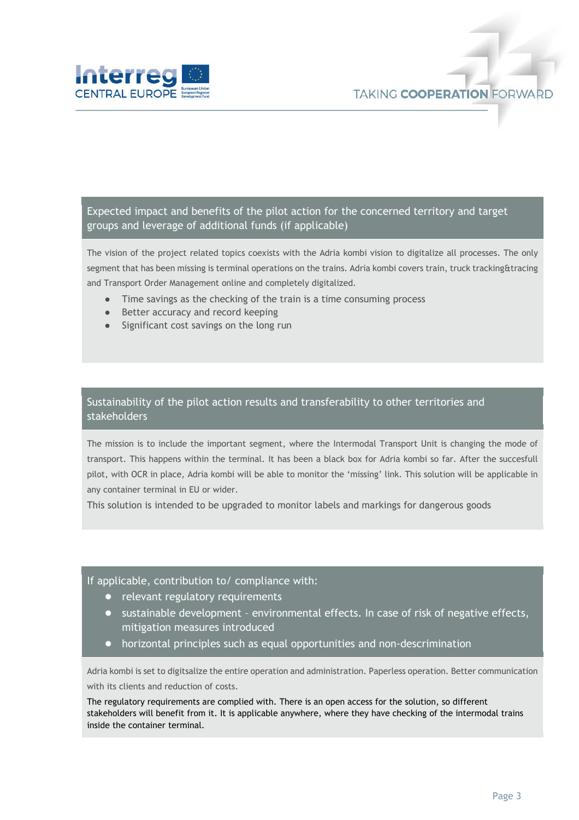

Expected impact and benefits of the pilot action for the concerned territory and target groups and leverage of additional funds (if applicable)

The vision of the project related topics coexists with the Adria kombi vision to digitalize all processes. The only segment that has been missing is terminal operations on the trains. Adria kombi covers train, truck tracking&tracing and Transport Order Management online and completely digitalized.

- Time savings as the checking of the train is a time consuming process
- Better accuracy and record keeping
- Significant cost savings on the long run

#### Sustainability of the pilot action results and transferability to other territories and stakeholders

The mission is to include the important segment, where the Intermodal Transport Unit is changing the mode of transport. This happens within the terminal. It has been a black box for Adria kombi so far. After the succesfull pilot, with OCR in place, Adria kombi will be able to monitor the 'missing' link. This solution will be applicable in any container terminal in EU or wider.

This solution is intended to be upgraded to monitor labels and markings for dangerous goods

#### If applicable, contribution to/ compliance with:

- relevant regulatory requirements
- sustainable development environmental effects. In case of risk of negative effects, mitigation measures introduced
- horizontal principles such as equal opportunities and non-descrimination

Adria kombi is set to digitsalize the entire operation and administration. Paperless operation. Better communication with its clients and reduction of costs.

The regulatory requirements are complied with. There is an open access for the solution, so different stakeholders will benefit from it. It is applicable anywhere, where they have checking of the intermodal trains inside the container terminal.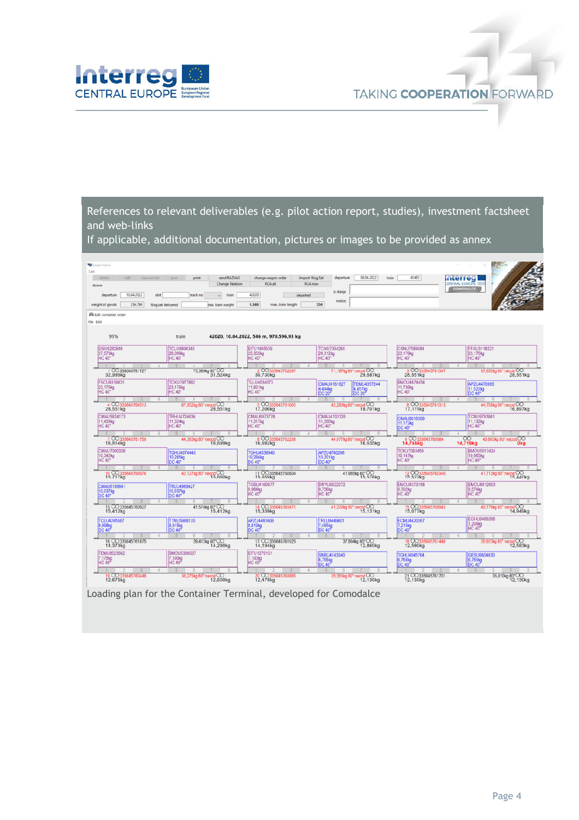

References to relevant deliverables (e.g. pilot action report, studies), investment factsheet and web-links

If applicable, additional documentation, pictures or images to be provided as annex

| <b>Coad trains</b><br>Edit          |                                        |                                         |                                           |                                   |                                               |
|-------------------------------------|----------------------------------------|-----------------------------------------|-------------------------------------------|-----------------------------------|-----------------------------------------------|
| delete<br>adit:<br>new record       | send RAZVAG<br>rance.<br>print         | change wagon order                      | 08.04.2022<br>Import Wag.Set<br>departure | 41483<br>train                    | <b>Interregi</b>                              |
| dumn                                | <b>Change Relation</b>                 | RCA all                                 | <b>RCA</b> new                            |                                   | <b>CENTRAL EUROPE</b><br>COMODALCE            |
| 10.04.2022<br>departure<br>slot     | track no<br>$\cup$ train               | 42020<br>departed                       | iz stanja                                 |                                   |                                               |
| weight of goods<br>354,796          |                                        | 1,580<br>max. train length              | notice<br>550                             |                                   |                                               |
|                                     | Wag.set delivered<br>nax, train weight |                                         |                                           |                                   |                                               |
| EL Edit container order             |                                        |                                         |                                           |                                   |                                               |
| File Edit                           |                                        |                                         |                                           |                                   |                                               |
| 95%                                 | train                                  | 42020, 10.04.2022, 546 m, 970.596,93 kg |                                           |                                   |                                               |
|                                     |                                        |                                         |                                           |                                   |                                               |
| EISU9282646                         | <b>TCLU8896340</b>                     | FITU1465639                             | <b>TCNU7354260</b>                        | CSNU7589084                       | FFAU3118221                                   |
| 27,570kg<br><b>HC 40*</b>           | 26,099kg<br><b>HC 40*</b>              | 25,355kg<br><b>HC 40"</b>               | 24,312kg<br><b>HC 40*</b>                 | 23,176kg<br><b>HC 40*</b>         | 23,176kg<br><b>HC 40*</b>                     |
| $\sim$                              | $\pm$                                  |                                         | (一) 所示                                    |                                   | <b>SING</b><br>- 15                           |
| 1 00338045761727<br>32,995kg        | 75,369kg 80°CO<br>31,524kg             | 2 00335645762097<br>30,730kg            | 71,167kg 80° necod CO<br>29,687kg         | 3 00335645761347<br>28,551kg      | 67,852kg 80° necod CO<br>28,551kg             |
| <b>FSCU9319831</b>                  | <b>TCKU7977882</b>                     | TLLU4034073                             | <b>CMAU0161627</b><br><b>TEMU4357244</b>  | BMOU4874454                       | APZU4470995                                   |
| 23.176kg<br><b>HC 40*</b>           | 23,176kg<br><b>HC 40*</b>              | 11.831kg<br><b>HC 40"</b>               | 4 494kg<br>4.457kg                        | 11,736kg<br><b>HC 40*</b>         | 11.522kg                                      |
|                                     |                                        |                                         | DC 20<br>DC 20 <sup>*</sup><br>- 16       |                                   | DC 40°<br>$-5.1$<br>-6                        |
| 4 CO335645760513                    | 67,852kg 80° necod CO                  | 5 00335645761065                        | 42,283kg 80° necod CO                     | 6 CO335645761313                  | 44,758kg 80° necod CO                         |
| 28,551kg                            | 28.551kg                               | 17,206kg                                | 19.701kg                                  | 17,111kg                          | 16.897kg                                      |
| CMAU5824173<br>11,439kg             | TRHU4724636<br>11.324kg                | CMAU6973778<br>11.317kg                 | CMAU4133120<br>11,260kg                   | CMAU8018309                       | <b>TCNLI9793981</b><br>11.132kg               |
| HC 40°                              | <b>HC 40*</b>                          | <b>HC 40"</b>                           | <b>HC 40*</b>                             | 11.172kg<br>DC 40*                | <b>HC 40*</b>                                 |
| $\mathbb{1}$<br>7 00335645761750    | $-5.7$                                 | 8 00335645762238                        | 5.                                        | $\mathcal{H}$<br>9 CO335645760984 | 图                                             |
| 16,814kg                            | 44,263kg 80° necod CO<br>16,699kg      | 16,692kg                                | 44,077kg 80° necod CO<br>16,635kg         | 14,755kg                          | OO 43,803kg 80" necod OO<br>14,715kg<br>Okg   |
| CMAU7000326                         | <b>TGHU4974443</b>                     | <b>TGHU4536940</b>                      | APZU4760206                               | <b>TCKU7063450</b>                | <b>BMOU5013424</b>                            |
| 10.342kg<br><b>HC 40*</b>           | 10 285kg<br>DC 40*                     | 10.284kg<br>DC 40"                      | 10.201kg<br>DC 40"                        | 10.147kg<br><b>HC 40*</b>         | 10,065kg<br><b>HC 40*</b>                     |
| $-1$                                |                                        |                                         |                                           |                                   |                                               |
| 10 00335645760976                   | 42,127kg 80" necod CO<br>15,660kg      | 11 00335645760604<br>15,659kg           | 41,985kg 80°CO<br>15,576kg                | 12 00335645760349<br>15,522kg     | 41,712kg 80° necod CO<br>15.440 <sub>kg</sub> |
| CMAU8189641                         | TRLU4869427                            | TGBU4160677                             | DRYU9522272                               | EMCU8373158                       | <b>EMCU8812693</b>                            |
| 10.037kg                            | 10,037kg                               | 9.964kg<br><b>HC 40<sup>3</sup></b>     | 9.756kg<br><b>HC 40</b>                   | 9.702kg<br><b>HC 40°</b>          | 9,574kg<br><b>HC 40</b>                       |
| <b>DC 40*</b><br>$\top$             | DC 40*                                 |                                         |                                           |                                   |                                               |
| 13 00 335645760927                  | 41,574kg 80°CO                         | 14 00335645760471                       | 41,220kg 80° necod CO                     | 15 00335645760943<br>15,077kg     | 40,776kg 80° necod CO                         |
| 15,412kg                            | 15.412kg                               | 15,339kg                                | 15,131kg                                  |                                   | 14,949kg                                      |
| <b>TCLU4245587</b>                  | <b>TTNU5988170</b>                     | APZU4461606                             | TRLU9449601                               | <b>ECMU4420267</b>                | EGHU9466266<br>7.208kg                        |
| 8,998kg<br><b>DC 40<sup>*</sup></b> | 8,915kg                                | 8,819kg<br>DC 40 <sup>*</sup>           | 7,485kg<br><b>DC 40</b>                   | 7.215kg                           | <b>HC 40<sup>+</sup></b>                      |
| $\top$<br>16 CO 335645761875        |                                        | 17 00 335645761925                      | 37,804kg 80°CO                            | 18 00335645761446                 | 5.                                            |
| 14,373kg                            | 39,413kg 80°CO<br>14,290kg             | 14,194kg                                | 12,860kg                                  | 12,590kg                          | 35,923kg 80° necod CO<br>12,583kg             |
| <b>TEMU8523662</b>                  | BMOU5398537                            | EITU1279151                             | SNBU4143040                               | <b>TGHU4945764</b>                | GESU6604830                                   |
| 7.175kg<br><b>HC 40<sup>*</sup></b> | 7.100kg<br><b>HC 40</b> <sup>*</sup>   | 7.100kg<br><b>HC 40<sup>*</sup></b>     | 6,755kg<br>DC 40                          | 6.755kg<br>DC 40 <sup>*</sup>     | 6.755kg<br><b>DC 40</b> <sup>*</sup>          |
|                                     |                                        |                                         |                                           |                                   |                                               |
| 19 CO 335645760448<br>12,675kg      | 36,275kg 80" necod CO<br>12,600kg      | 20 CO335645760885<br>12.475kg           | 35,355kg 80" necod CO<br>12.130kg         | 21 00335645761701                 | 35,010kg 80° OO<br>12,130kg                   |
|                                     |                                        |                                         |                                           |                                   |                                               |

Loading plan for the Container Terminal, developed for Comodalce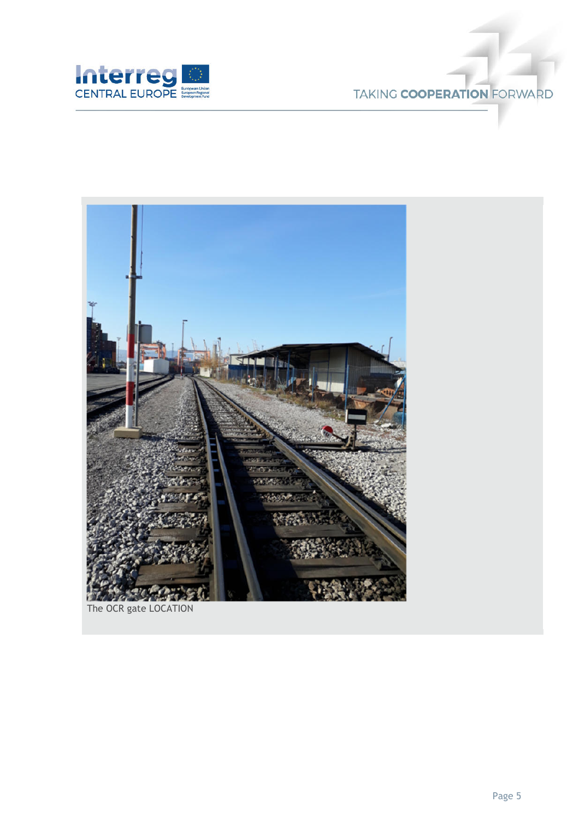

## TAKING COOPERATION FORWARD

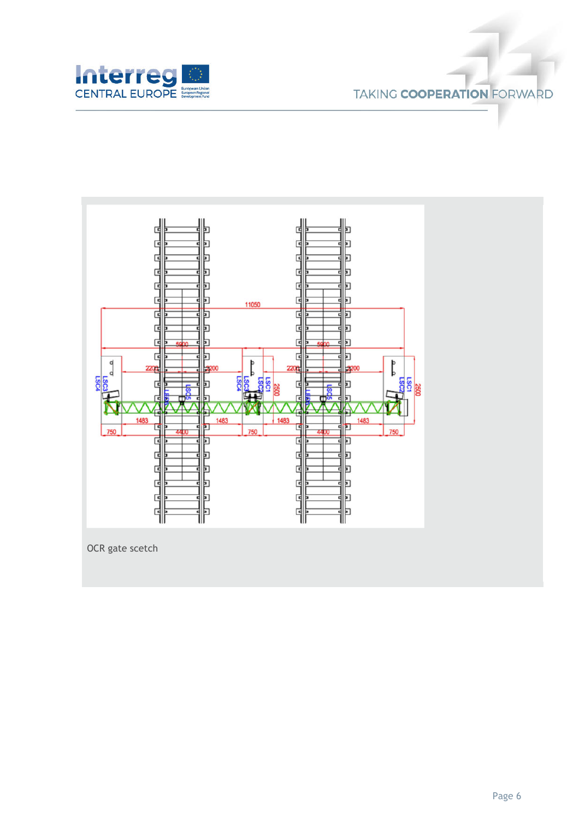

## **TAKING COOPERATION FORWARD**



OCR gate scetch